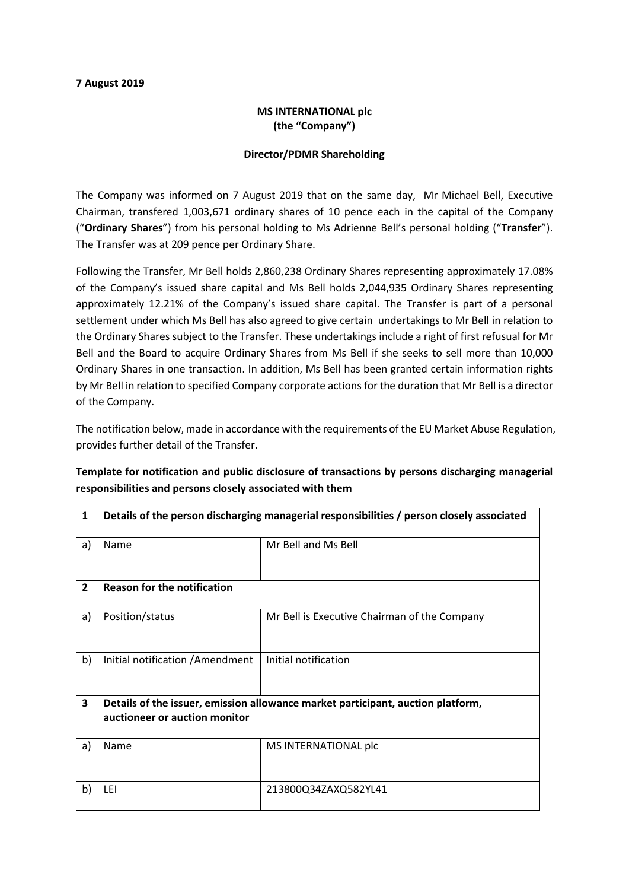#### 7 August 2019

### MS INTERNATIONAL plc (the "Company")

#### Director/PDMR Shareholding

The Company was informed on 7 August 2019 that on the same day, Mr Michael Bell, Executive Chairman, transfered 1,003,671 ordinary shares of 10 pence each in the capital of the Company ("Ordinary Shares") from his personal holding to Ms Adrienne Bell's personal holding ("Transfer"). The Transfer was at 209 pence per Ordinary Share.

Following the Transfer, Mr Bell holds 2,860,238 Ordinary Shares representing approximately 17.08% of the Company's issued share capital and Ms Bell holds 2,044,935 Ordinary Shares representing approximately 12.21% of the Company's issued share capital. The Transfer is part of a personal settlement under which Ms Bell has also agreed to give certain undertakings to Mr Bell in relation to the Ordinary Shares subject to the Transfer. These undertakings include a right of first refusual for Mr Bell and the Board to acquire Ordinary Shares from Ms Bell if she seeks to sell more than 10,000 Ordinary Shares in one transaction. In addition, Ms Bell has been granted certain information rights by Mr Bell in relation to specified Company corporate actions for the duration that Mr Bell is a director of the Company.

The notification below, made in accordance with the requirements of the EU Market Abuse Regulation, provides further detail of the Transfer.

# Template for notification and public disclosure of transactions by persons discharging managerial responsibilities and persons closely associated with them

| $\mathbf{1}$            | Details of the person discharging managerial responsibilities / person closely associated |                                              |  |
|-------------------------|-------------------------------------------------------------------------------------------|----------------------------------------------|--|
| a)                      | Name                                                                                      | Mr Bell and Ms Bell                          |  |
| $\overline{2}$          | <b>Reason for the notification</b>                                                        |                                              |  |
| a)                      | Position/status                                                                           | Mr Bell is Executive Chairman of the Company |  |
| b)                      | Initial notification / Amendment                                                          | Initial notification                         |  |
| $\overline{\mathbf{3}}$ | Details of the issuer, emission allowance market participant, auction platform,           |                                              |  |
|                         | auctioneer or auction monitor                                                             |                                              |  |
| a)                      | Name                                                                                      | MS INTERNATIONAL plc                         |  |
| b)                      | LEI                                                                                       | 213800Q34ZAXQ582YL41                         |  |